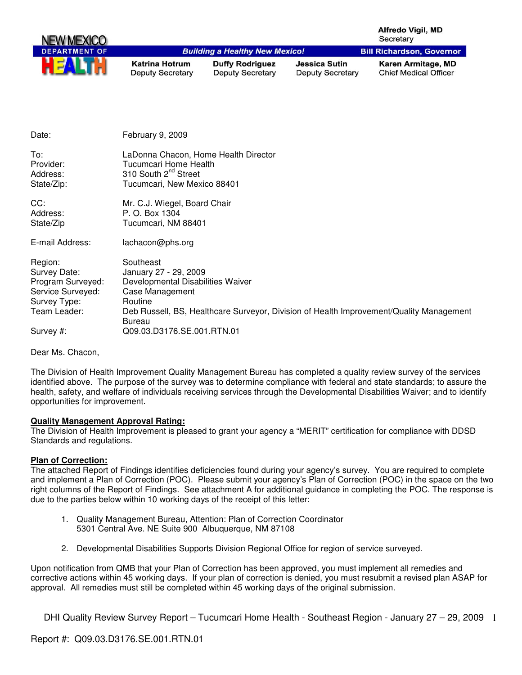|                                            |                                                                                                                                  |                                                   |                                                 | Alfredo Vigil, MD<br>Secretary                     |
|--------------------------------------------|----------------------------------------------------------------------------------------------------------------------------------|---------------------------------------------------|-------------------------------------------------|----------------------------------------------------|
| <b>DEPARTMENT OF</b>                       |                                                                                                                                  | <b>Building a Healthy New Mexico!</b>             |                                                 | <b>Bill Richardson, Governor</b>                   |
|                                            | <b>Katrina Hotrum</b><br><b>Deputy Secretary</b>                                                                                 | <b>Duffy Rodriguez</b><br><b>Deputy Secretary</b> | <b>Jessica Sutin</b><br><b>Deputy Secretary</b> | Karen Armitage, MD<br><b>Chief Medical Officer</b> |
| Date:                                      | February 9, 2009                                                                                                                 |                                                   |                                                 |                                                    |
| To:<br>Provider:<br>Address:<br>State/Zip: | LaDonna Chacon, Home Health Director<br>Tucumcari Home Health<br>310 South 2 <sup>nd</sup> Street<br>Tucumcari, New Mexico 88401 |                                                   |                                                 |                                                    |
| CC:<br>Address:<br>State/Zip               | Mr. C.J. Wiegel, Board Chair<br>P. O. Box 1304<br>Tucumcari, NM 88401                                                            |                                                   |                                                 |                                                    |

E-mail Address: lachacon@phs.org

| Region:           | Southeast                                                                               |
|-------------------|-----------------------------------------------------------------------------------------|
| Survey Date:      | January 27 - 29, 2009                                                                   |
| Program Surveyed: | Developmental Disabilities Waiver                                                       |
| Service Surveyed: | Case Management                                                                         |
| Survey Type:      | Routine                                                                                 |
| Team Leader:      | Deb Russell, BS, Healthcare Surveyor, Division of Health Improvement/Quality Management |
|                   | Bureau                                                                                  |
| Survey #:         | Q09.03.D3176.SE.001.RTN.01                                                              |

Dear Ms. Chacon,

The Division of Health Improvement Quality Management Bureau has completed a quality review survey of the services identified above. The purpose of the survey was to determine compliance with federal and state standards; to assure the health, safety, and welfare of individuals receiving services through the Developmental Disabilities Waiver; and to identify opportunities for improvement.

## **Quality Management Approval Rating:**

The Division of Health Improvement is pleased to grant your agency a "MERIT" certification for compliance with DDSD Standards and regulations.

## **Plan of Correction:**

The attached Report of Findings identifies deficiencies found during your agency's survey. You are required to complete and implement a Plan of Correction (POC). Please submit your agency's Plan of Correction (POC) in the space on the two right columns of the Report of Findings. See attachment A for additional guidance in completing the POC. The response is due to the parties below within 10 working days of the receipt of this letter:

- 1. Quality Management Bureau, Attention: Plan of Correction Coordinator 5301 Central Ave. NE Suite 900 Albuquerque, NM 87108
- 2. Developmental Disabilities Supports Division Regional Office for region of service surveyed.

Upon notification from QMB that your Plan of Correction has been approved, you must implement all remedies and corrective actions within 45 working days. If your plan of correction is denied, you must resubmit a revised plan ASAP for approval. All remedies must still be completed within 45 working days of the original submission.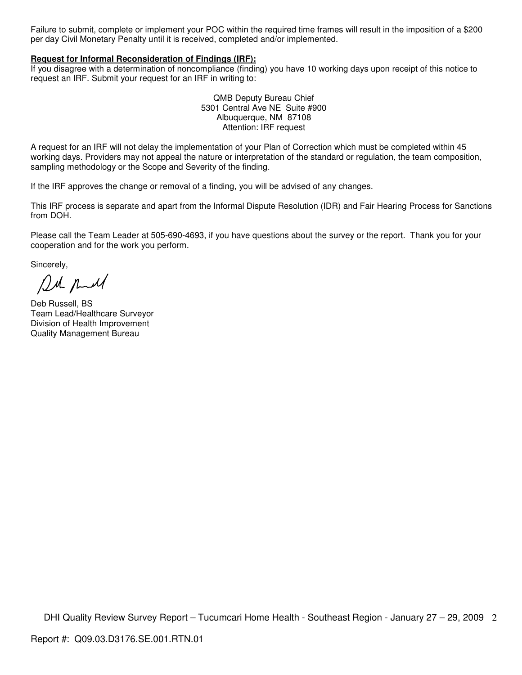Failure to submit, complete or implement your POC within the required time frames will result in the imposition of a \$200 per day Civil Monetary Penalty until it is received, completed and/or implemented.

#### **Request for Informal Reconsideration of Findings (IRF):**

If you disagree with a determination of noncompliance (finding) you have 10 working days upon receipt of this notice to request an IRF. Submit your request for an IRF in writing to:

> QMB Deputy Bureau Chief 5301 Central Ave NE Suite #900 Albuquerque, NM 87108 Attention: IRF request

A request for an IRF will not delay the implementation of your Plan of Correction which must be completed within 45 working days. Providers may not appeal the nature or interpretation of the standard or regulation, the team composition, sampling methodology or the Scope and Severity of the finding.

If the IRF approves the change or removal of a finding, you will be advised of any changes.

This IRF process is separate and apart from the Informal Dispute Resolution (IDR) and Fair Hearing Process for Sanctions from DOH.

Please call the Team Leader at 505-690-4693, if you have questions about the survey or the report. Thank you for your cooperation and for the work you perform.

Sincerely,

Del puel

Deb Russell, BS Team Lead/Healthcare Surveyor Division of Health Improvement Quality Management Bureau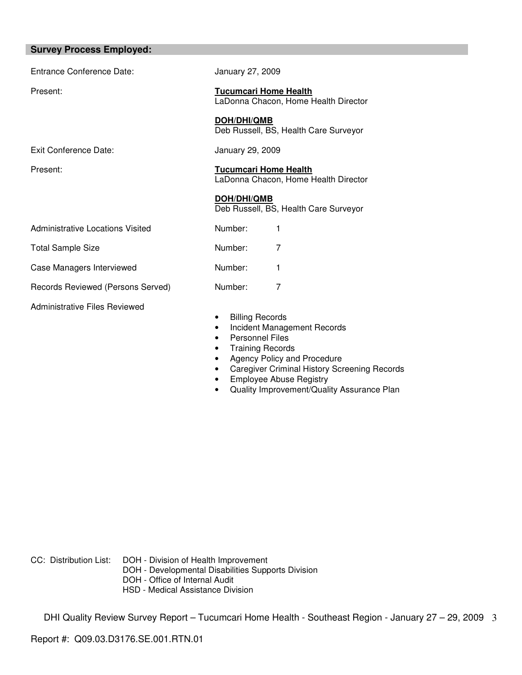| <b>Survey Process Employed:</b>      |                                                                                                                       |
|--------------------------------------|-----------------------------------------------------------------------------------------------------------------------|
| <b>Entrance Conference Date:</b>     | January 27, 2009                                                                                                      |
| Present:                             | <b>Tucumcari Home Health</b><br>LaDonna Chacon, Home Health Director                                                  |
|                                      | <b>DOH/DHI/QMB</b><br>Deb Russell, BS, Health Care Surveyor                                                           |
| Exit Conference Date:                | January 29, 2009                                                                                                      |
| Present:                             | <b>Tucumcari Home Health</b><br>LaDonna Chacon, Home Health Director                                                  |
|                                      | DOH/DHI/QMB<br>Deb Russell, BS, Health Care Surveyor                                                                  |
| Administrative Locations Visited     | Number:<br>1                                                                                                          |
| <b>Total Sample Size</b>             | Number:<br>7                                                                                                          |
| Case Managers Interviewed            | Number:<br>1                                                                                                          |
| Records Reviewed (Persons Served)    | 7<br>Number:                                                                                                          |
| <b>Administrative Files Reviewed</b> | <b>Billing Records</b><br>٠<br>Incident Management Records<br>$\bullet$<br><b>Personnel Files</b><br>Troining Dooprda |

- Training Records • Agency Policy and Procedure
- Caregiver Criminal History Screening Records
- Employee Abuse Registry
- Quality Improvement/Quality Assurance Plan

CC: Distribution List: DOH - Division of Health Improvement

- DOH Developmental Disabilities Supports Division
- DOH Office of Internal Audit
- HSD Medical Assistance Division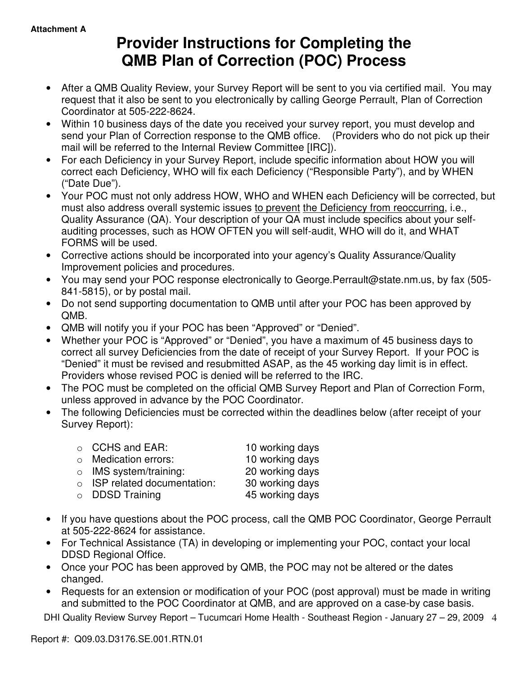# **Provider Instructions for Completing the QMB Plan of Correction (POC) Process**

- After a QMB Quality Review, your Survey Report will be sent to you via certified mail. You may request that it also be sent to you electronically by calling George Perrault, Plan of Correction Coordinator at 505-222-8624.
- Within 10 business days of the date you received your survey report, you must develop and send your Plan of Correction response to the QMB office. (Providers who do not pick up their mail will be referred to the Internal Review Committee [IRC]).
- For each Deficiency in your Survey Report, include specific information about HOW you will correct each Deficiency, WHO will fix each Deficiency ("Responsible Party"), and by WHEN ("Date Due").
- Your POC must not only address HOW, WHO and WHEN each Deficiency will be corrected, but must also address overall systemic issues to prevent the Deficiency from reoccurring, i.e., Quality Assurance (QA). Your description of your QA must include specifics about your selfauditing processes, such as HOW OFTEN you will self-audit, WHO will do it, and WHAT FORMS will be used.
- Corrective actions should be incorporated into your agency's Quality Assurance/Quality Improvement policies and procedures.
- You may send your POC response electronically to George.Perrault@state.nm.us, by fax (505- 841-5815), or by postal mail.
- Do not send supporting documentation to QMB until after your POC has been approved by QMB.
- QMB will notify you if your POC has been "Approved" or "Denied".
- Whether your POC is "Approved" or "Denied", you have a maximum of 45 business days to correct all survey Deficiencies from the date of receipt of your Survey Report. If your POC is "Denied" it must be revised and resubmitted ASAP, as the 45 working day limit is in effect. Providers whose revised POC is denied will be referred to the IRC.
- The POC must be completed on the official QMB Survey Report and Plan of Correction Form, unless approved in advance by the POC Coordinator.
- The following Deficiencies must be corrected within the deadlines below (after receipt of your Survey Report):

| $\circ$ CCHS and EAR:              | 10 working days |
|------------------------------------|-----------------|
| $\circ$ Medication errors:         | 10 working days |
| $\circ$ IMS system/training:       | 20 working days |
| $\circ$ ISP related documentation: | 30 working days |
| $\circ$ DDSD Training              | 45 working days |

- If you have questions about the POC process, call the QMB POC Coordinator, George Perrault at 505-222-8624 for assistance.
- For Technical Assistance (TA) in developing or implementing your POC, contact your local DDSD Regional Office.
- Once your POC has been approved by QMB, the POC may not be altered or the dates changed.
- Requests for an extension or modification of your POC (post approval) must be made in writing and submitted to the POC Coordinator at QMB, and are approved on a case-by case basis.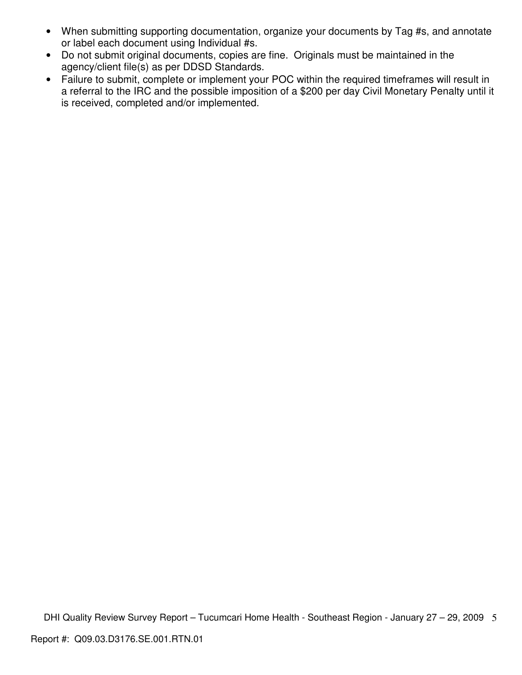- When submitting supporting documentation, organize your documents by Tag #s, and annotate or label each document using Individual #s.
- Do not submit original documents, copies are fine. Originals must be maintained in the agency/client file(s) as per DDSD Standards.
- Failure to submit, complete or implement your POC within the required timeframes will result in a referral to the IRC and the possible imposition of a \$200 per day Civil Monetary Penalty until it is received, completed and/or implemented.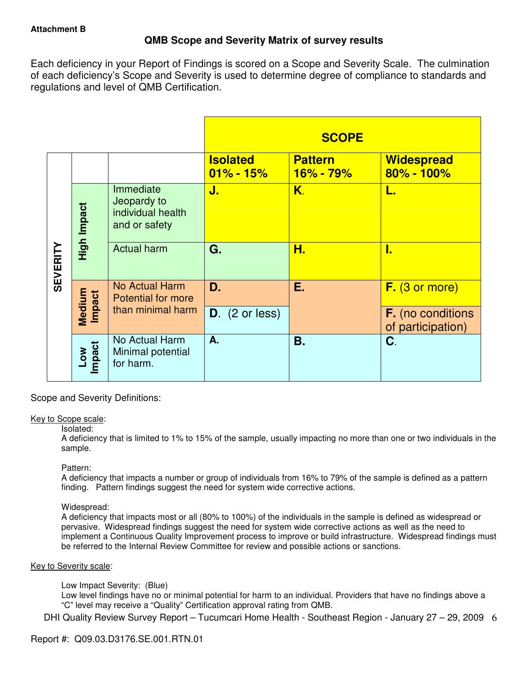## **QMB Scope and Severity Matrix of survey results**

Each deficiency in your Report of Findings is scored on a Scope and Severity Scale. The culmination of each deficiency's Scope and Severity is used to determine degree of compliance to standards and regulations and level of QMB Certification.

|                 |                  |                                                                |                                  | <b>SCOPE</b>                |                                               |
|-----------------|------------------|----------------------------------------------------------------|----------------------------------|-----------------------------|-----------------------------------------------|
|                 |                  |                                                                | <b>Isolated</b><br>$01\% - 15\%$ | <b>Pattern</b><br>16% - 79% | <b>Widespread</b><br>$80\% - 100\%$           |
|                 | High Impact      | Immediate<br>Jeopardy to<br>individual health<br>and or safety | J.                               | K.                          | L.                                            |
| <b>SEVERITY</b> |                  | <b>Actual harm</b>                                             | G.                               | Н.                          | 1.                                            |
|                 | Medium<br>Impact | <b>No Actual Harm</b><br><b>Potential for more</b>             | D.                               | Ε.                          | F. (3 or more)                                |
|                 |                  | than minimal harm                                              | $D.$ (2 or less)                 |                             | <b>F.</b> (no conditions<br>of participation) |
|                 | Low<br>Impact    | No Actual Harm<br>Minimal potential<br>for harm.               | A.                               | Β.                          | C.                                            |

Scope and Severity Definitions:

## Key to Scope scale:

## Isolated:

A deficiency that is limited to 1% to 15% of the sample, usually impacting no more than one or two individuals in the sample.

## Pattern:

A deficiency that impacts a number or group of individuals from 16% to 79% of the sample is defined as a pattern finding. Pattern findings suggest the need for system wide corrective actions.

## Widespread:

A deficiency that impacts most or all (80% to 100%) of the individuals in the sample is defined as widespread or pervasive. Widespread findings suggest the need for system wide corrective actions as well as the need to implement a Continuous Quality Improvement process to improve or build infrastructure. Widespread findings must be referred to the Internal Review Committee for review and possible actions or sanctions.

## Key to Severity scale:

Low Impact Severity: (Blue)

Low level findings have no or minimal potential for harm to an individual. Providers that have no findings above a "C" level may receive a "Quality" Certification approval rating from QMB.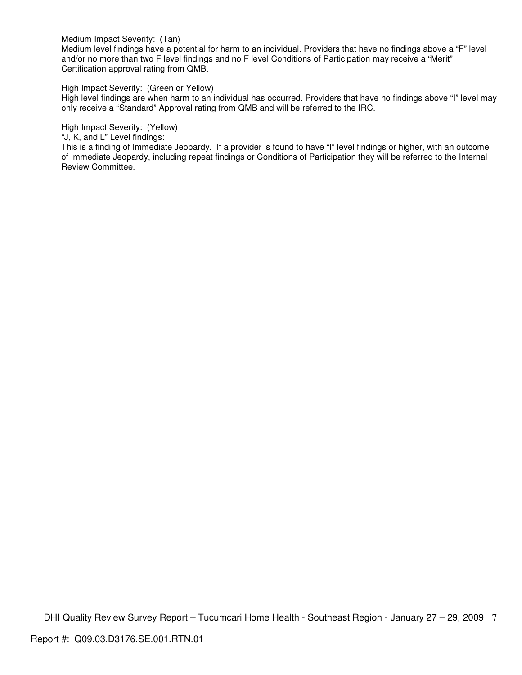Medium Impact Severity: (Tan)

Medium level findings have a potential for harm to an individual. Providers that have no findings above a "F" level and/or no more than two F level findings and no F level Conditions of Participation may receive a "Merit" Certification approval rating from QMB.

High Impact Severity: (Green or Yellow)

High level findings are when harm to an individual has occurred. Providers that have no findings above "I" level may only receive a "Standard" Approval rating from QMB and will be referred to the IRC.

High Impact Severity: (Yellow)

"J, K, and L" Level findings:

This is a finding of Immediate Jeopardy. If a provider is found to have "I" level findings or higher, with an outcome of Immediate Jeopardy, including repeat findings or Conditions of Participation they will be referred to the Internal Review Committee.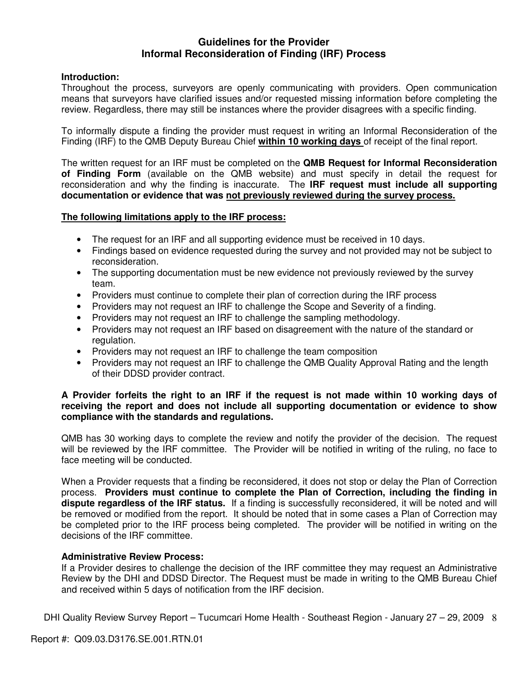## **Guidelines for the Provider Informal Reconsideration of Finding (IRF) Process**

## **Introduction:**

Throughout the process, surveyors are openly communicating with providers. Open communication means that surveyors have clarified issues and/or requested missing information before completing the review. Regardless, there may still be instances where the provider disagrees with a specific finding.

To informally dispute a finding the provider must request in writing an Informal Reconsideration of the Finding (IRF) to the QMB Deputy Bureau Chief **within 10 working days** of receipt of the final report.

The written request for an IRF must be completed on the **QMB Request for Informal Reconsideration of Finding Form** (available on the QMB website) and must specify in detail the request for reconsideration and why the finding is inaccurate. The **IRF request must include all supporting documentation or evidence that was not previously reviewed during the survey process.** 

## **The following limitations apply to the IRF process:**

- The request for an IRF and all supporting evidence must be received in 10 days.
- Findings based on evidence requested during the survey and not provided may not be subject to reconsideration.
- The supporting documentation must be new evidence not previously reviewed by the survey team.
- Providers must continue to complete their plan of correction during the IRF process
- Providers may not request an IRF to challenge the Scope and Severity of a finding.
- Providers may not request an IRF to challenge the sampling methodology.
- Providers may not request an IRF based on disagreement with the nature of the standard or regulation.
- Providers may not request an IRF to challenge the team composition
- Providers may not request an IRF to challenge the QMB Quality Approval Rating and the length of their DDSD provider contract.

## **A Provider forfeits the right to an IRF if the request is not made within 10 working days of receiving the report and does not include all supporting documentation or evidence to show compliance with the standards and regulations.**

QMB has 30 working days to complete the review and notify the provider of the decision. The request will be reviewed by the IRF committee. The Provider will be notified in writing of the ruling, no face to face meeting will be conducted.

When a Provider requests that a finding be reconsidered, it does not stop or delay the Plan of Correction process. **Providers must continue to complete the Plan of Correction, including the finding in dispute regardless of the IRF status.** If a finding is successfully reconsidered, it will be noted and will be removed or modified from the report. It should be noted that in some cases a Plan of Correction may be completed prior to the IRF process being completed. The provider will be notified in writing on the decisions of the IRF committee.

## **Administrative Review Process:**

If a Provider desires to challenge the decision of the IRF committee they may request an Administrative Review by the DHI and DDSD Director. The Request must be made in writing to the QMB Bureau Chief and received within 5 days of notification from the IRF decision.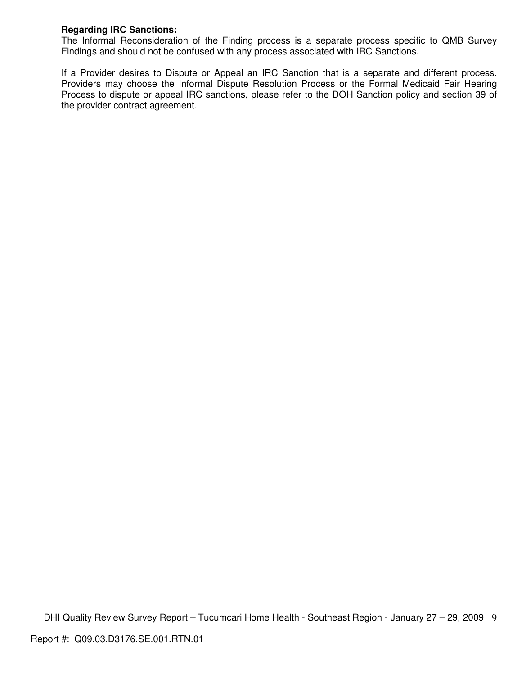## **Regarding IRC Sanctions:**

The Informal Reconsideration of the Finding process is a separate process specific to QMB Survey Findings and should not be confused with any process associated with IRC Sanctions.

If a Provider desires to Dispute or Appeal an IRC Sanction that is a separate and different process. Providers may choose the Informal Dispute Resolution Process or the Formal Medicaid Fair Hearing Process to dispute or appeal IRC sanctions, please refer to the DOH Sanction policy and section 39 of the provider contract agreement.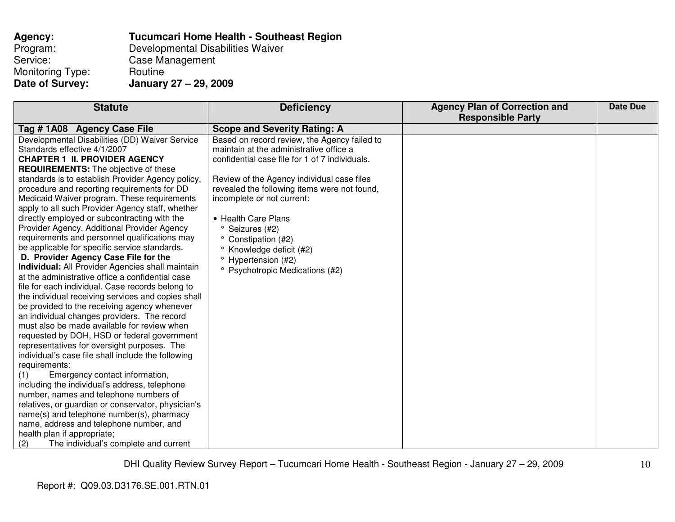| Agency:          | <b>Tucumcari Home Health - Southeast Region</b> |
|------------------|-------------------------------------------------|
| Program:         | Developmental Disabilities Waiver               |
| Service:         | Case Management                                 |
| Monitoring Type: | Routine                                         |
| Date of Survey:  | January 27 - 29, 2009                           |

| <b>Statute</b>                                                                                    | <b>Deficiency</b>                              | <b>Agency Plan of Correction and</b><br><b>Responsible Party</b> | <b>Date Due</b> |
|---------------------------------------------------------------------------------------------------|------------------------------------------------|------------------------------------------------------------------|-----------------|
|                                                                                                   |                                                |                                                                  |                 |
| Tag #1A08 Agency Case File                                                                        | <b>Scope and Severity Rating: A</b>            |                                                                  |                 |
| Developmental Disabilities (DD) Waiver Service                                                    | Based on record review, the Agency failed to   |                                                                  |                 |
| Standards effective 4/1/2007                                                                      | maintain at the administrative office a        |                                                                  |                 |
| <b>CHAPTER 1 II. PROVIDER AGENCY</b>                                                              | confidential case file for 1 of 7 individuals. |                                                                  |                 |
| <b>REQUIREMENTS:</b> The objective of these                                                       |                                                |                                                                  |                 |
| standards is to establish Provider Agency policy,                                                 | Review of the Agency individual case files     |                                                                  |                 |
| procedure and reporting requirements for DD                                                       | revealed the following items were not found,   |                                                                  |                 |
| Medicaid Waiver program. These requirements                                                       | incomplete or not current:                     |                                                                  |                 |
| apply to all such Provider Agency staff, whether                                                  |                                                |                                                                  |                 |
| directly employed or subcontracting with the                                                      | • Health Care Plans                            |                                                                  |                 |
| Provider Agency. Additional Provider Agency                                                       | Seizures (#2)                                  |                                                                  |                 |
| requirements and personnel qualifications may                                                     | ° Constipation (#2)                            |                                                                  |                 |
| be applicable for specific service standards.                                                     | ° Knowledge deficit (#2)                       |                                                                  |                 |
| D. Provider Agency Case File for the                                                              | <sup>o</sup> Hypertension (#2)                 |                                                                  |                 |
| Individual: All Provider Agencies shall maintain                                                  | ° Psychotropic Medications (#2)                |                                                                  |                 |
| at the administrative office a confidential case                                                  |                                                |                                                                  |                 |
| file for each individual. Case records belong to                                                  |                                                |                                                                  |                 |
| the individual receiving services and copies shall                                                |                                                |                                                                  |                 |
| be provided to the receiving agency whenever                                                      |                                                |                                                                  |                 |
| an individual changes providers. The record<br>must also be made available for review when        |                                                |                                                                  |                 |
|                                                                                                   |                                                |                                                                  |                 |
| requested by DOH, HSD or federal government                                                       |                                                |                                                                  |                 |
| representatives for oversight purposes. The<br>individual's case file shall include the following |                                                |                                                                  |                 |
| requirements:                                                                                     |                                                |                                                                  |                 |
| Emergency contact information,<br>(1)                                                             |                                                |                                                                  |                 |
| including the individual's address, telephone                                                     |                                                |                                                                  |                 |
| number, names and telephone numbers of                                                            |                                                |                                                                  |                 |
| relatives, or guardian or conservator, physician's                                                |                                                |                                                                  |                 |
| name(s) and telephone number(s), pharmacy                                                         |                                                |                                                                  |                 |
| name, address and telephone number, and                                                           |                                                |                                                                  |                 |
| health plan if appropriate;                                                                       |                                                |                                                                  |                 |
| The individual's complete and current                                                             |                                                |                                                                  |                 |
| (2)                                                                                               |                                                |                                                                  |                 |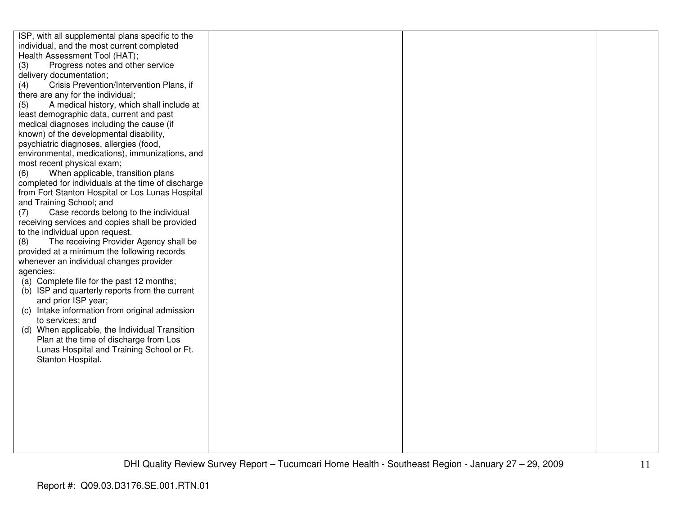| ISP, with all supplemental plans specific to the<br>individual, and the most current completed<br>Health Assessment Tool (HAT);<br>(3)<br>Progress notes and other service<br>delivery documentation;<br>Crisis Prevention/Intervention Plans, if<br>(4)<br>there are any for the individual;<br>A medical history, which shall include at<br>(5)<br>least demographic data, current and past<br>medical diagnoses including the cause (if<br>known) of the developmental disability,<br>psychiatric diagnoses, allergies (food,<br>environmental, medications), immunizations, and<br>most recent physical exam;<br>When applicable, transition plans<br>(6)<br>completed for individuals at the time of discharge<br>from Fort Stanton Hospital or Los Lunas Hospital<br>and Training School; and<br>Case records belong to the individual<br>(7)<br>receiving services and copies shall be provided<br>to the individual upon request.<br>The receiving Provider Agency shall be<br>(8)<br>provided at a minimum the following records<br>whenever an individual changes provider<br>agencies:<br>(a) Complete file for the past 12 months;<br>(b) ISP and quarterly reports from the current |  |  |
|--------------------------------------------------------------------------------------------------------------------------------------------------------------------------------------------------------------------------------------------------------------------------------------------------------------------------------------------------------------------------------------------------------------------------------------------------------------------------------------------------------------------------------------------------------------------------------------------------------------------------------------------------------------------------------------------------------------------------------------------------------------------------------------------------------------------------------------------------------------------------------------------------------------------------------------------------------------------------------------------------------------------------------------------------------------------------------------------------------------------------------------------------------------------------------------------------|--|--|
|                                                                                                                                                                                                                                                                                                                                                                                                                                                                                                                                                                                                                                                                                                                                                                                                                                                                                                                                                                                                                                                                                                                                                                                                  |  |  |
|                                                                                                                                                                                                                                                                                                                                                                                                                                                                                                                                                                                                                                                                                                                                                                                                                                                                                                                                                                                                                                                                                                                                                                                                  |  |  |
|                                                                                                                                                                                                                                                                                                                                                                                                                                                                                                                                                                                                                                                                                                                                                                                                                                                                                                                                                                                                                                                                                                                                                                                                  |  |  |
|                                                                                                                                                                                                                                                                                                                                                                                                                                                                                                                                                                                                                                                                                                                                                                                                                                                                                                                                                                                                                                                                                                                                                                                                  |  |  |
|                                                                                                                                                                                                                                                                                                                                                                                                                                                                                                                                                                                                                                                                                                                                                                                                                                                                                                                                                                                                                                                                                                                                                                                                  |  |  |
|                                                                                                                                                                                                                                                                                                                                                                                                                                                                                                                                                                                                                                                                                                                                                                                                                                                                                                                                                                                                                                                                                                                                                                                                  |  |  |
|                                                                                                                                                                                                                                                                                                                                                                                                                                                                                                                                                                                                                                                                                                                                                                                                                                                                                                                                                                                                                                                                                                                                                                                                  |  |  |
|                                                                                                                                                                                                                                                                                                                                                                                                                                                                                                                                                                                                                                                                                                                                                                                                                                                                                                                                                                                                                                                                                                                                                                                                  |  |  |
|                                                                                                                                                                                                                                                                                                                                                                                                                                                                                                                                                                                                                                                                                                                                                                                                                                                                                                                                                                                                                                                                                                                                                                                                  |  |  |
|                                                                                                                                                                                                                                                                                                                                                                                                                                                                                                                                                                                                                                                                                                                                                                                                                                                                                                                                                                                                                                                                                                                                                                                                  |  |  |
|                                                                                                                                                                                                                                                                                                                                                                                                                                                                                                                                                                                                                                                                                                                                                                                                                                                                                                                                                                                                                                                                                                                                                                                                  |  |  |
|                                                                                                                                                                                                                                                                                                                                                                                                                                                                                                                                                                                                                                                                                                                                                                                                                                                                                                                                                                                                                                                                                                                                                                                                  |  |  |
|                                                                                                                                                                                                                                                                                                                                                                                                                                                                                                                                                                                                                                                                                                                                                                                                                                                                                                                                                                                                                                                                                                                                                                                                  |  |  |
|                                                                                                                                                                                                                                                                                                                                                                                                                                                                                                                                                                                                                                                                                                                                                                                                                                                                                                                                                                                                                                                                                                                                                                                                  |  |  |
|                                                                                                                                                                                                                                                                                                                                                                                                                                                                                                                                                                                                                                                                                                                                                                                                                                                                                                                                                                                                                                                                                                                                                                                                  |  |  |
|                                                                                                                                                                                                                                                                                                                                                                                                                                                                                                                                                                                                                                                                                                                                                                                                                                                                                                                                                                                                                                                                                                                                                                                                  |  |  |
|                                                                                                                                                                                                                                                                                                                                                                                                                                                                                                                                                                                                                                                                                                                                                                                                                                                                                                                                                                                                                                                                                                                                                                                                  |  |  |
|                                                                                                                                                                                                                                                                                                                                                                                                                                                                                                                                                                                                                                                                                                                                                                                                                                                                                                                                                                                                                                                                                                                                                                                                  |  |  |
|                                                                                                                                                                                                                                                                                                                                                                                                                                                                                                                                                                                                                                                                                                                                                                                                                                                                                                                                                                                                                                                                                                                                                                                                  |  |  |
|                                                                                                                                                                                                                                                                                                                                                                                                                                                                                                                                                                                                                                                                                                                                                                                                                                                                                                                                                                                                                                                                                                                                                                                                  |  |  |
|                                                                                                                                                                                                                                                                                                                                                                                                                                                                                                                                                                                                                                                                                                                                                                                                                                                                                                                                                                                                                                                                                                                                                                                                  |  |  |
|                                                                                                                                                                                                                                                                                                                                                                                                                                                                                                                                                                                                                                                                                                                                                                                                                                                                                                                                                                                                                                                                                                                                                                                                  |  |  |
|                                                                                                                                                                                                                                                                                                                                                                                                                                                                                                                                                                                                                                                                                                                                                                                                                                                                                                                                                                                                                                                                                                                                                                                                  |  |  |
|                                                                                                                                                                                                                                                                                                                                                                                                                                                                                                                                                                                                                                                                                                                                                                                                                                                                                                                                                                                                                                                                                                                                                                                                  |  |  |
| and prior ISP year;                                                                                                                                                                                                                                                                                                                                                                                                                                                                                                                                                                                                                                                                                                                                                                                                                                                                                                                                                                                                                                                                                                                                                                              |  |  |
| (c) Intake information from original admission                                                                                                                                                                                                                                                                                                                                                                                                                                                                                                                                                                                                                                                                                                                                                                                                                                                                                                                                                                                                                                                                                                                                                   |  |  |
| to services; and                                                                                                                                                                                                                                                                                                                                                                                                                                                                                                                                                                                                                                                                                                                                                                                                                                                                                                                                                                                                                                                                                                                                                                                 |  |  |
| (d) When applicable, the Individual Transition                                                                                                                                                                                                                                                                                                                                                                                                                                                                                                                                                                                                                                                                                                                                                                                                                                                                                                                                                                                                                                                                                                                                                   |  |  |
| Plan at the time of discharge from Los                                                                                                                                                                                                                                                                                                                                                                                                                                                                                                                                                                                                                                                                                                                                                                                                                                                                                                                                                                                                                                                                                                                                                           |  |  |
| Lunas Hospital and Training School or Ft.                                                                                                                                                                                                                                                                                                                                                                                                                                                                                                                                                                                                                                                                                                                                                                                                                                                                                                                                                                                                                                                                                                                                                        |  |  |
| Stanton Hospital.                                                                                                                                                                                                                                                                                                                                                                                                                                                                                                                                                                                                                                                                                                                                                                                                                                                                                                                                                                                                                                                                                                                                                                                |  |  |
|                                                                                                                                                                                                                                                                                                                                                                                                                                                                                                                                                                                                                                                                                                                                                                                                                                                                                                                                                                                                                                                                                                                                                                                                  |  |  |
|                                                                                                                                                                                                                                                                                                                                                                                                                                                                                                                                                                                                                                                                                                                                                                                                                                                                                                                                                                                                                                                                                                                                                                                                  |  |  |
|                                                                                                                                                                                                                                                                                                                                                                                                                                                                                                                                                                                                                                                                                                                                                                                                                                                                                                                                                                                                                                                                                                                                                                                                  |  |  |
|                                                                                                                                                                                                                                                                                                                                                                                                                                                                                                                                                                                                                                                                                                                                                                                                                                                                                                                                                                                                                                                                                                                                                                                                  |  |  |
|                                                                                                                                                                                                                                                                                                                                                                                                                                                                                                                                                                                                                                                                                                                                                                                                                                                                                                                                                                                                                                                                                                                                                                                                  |  |  |
|                                                                                                                                                                                                                                                                                                                                                                                                                                                                                                                                                                                                                                                                                                                                                                                                                                                                                                                                                                                                                                                                                                                                                                                                  |  |  |
|                                                                                                                                                                                                                                                                                                                                                                                                                                                                                                                                                                                                                                                                                                                                                                                                                                                                                                                                                                                                                                                                                                                                                                                                  |  |  |
|                                                                                                                                                                                                                                                                                                                                                                                                                                                                                                                                                                                                                                                                                                                                                                                                                                                                                                                                                                                                                                                                                                                                                                                                  |  |  |
|                                                                                                                                                                                                                                                                                                                                                                                                                                                                                                                                                                                                                                                                                                                                                                                                                                                                                                                                                                                                                                                                                                                                                                                                  |  |  |
|                                                                                                                                                                                                                                                                                                                                                                                                                                                                                                                                                                                                                                                                                                                                                                                                                                                                                                                                                                                                                                                                                                                                                                                                  |  |  |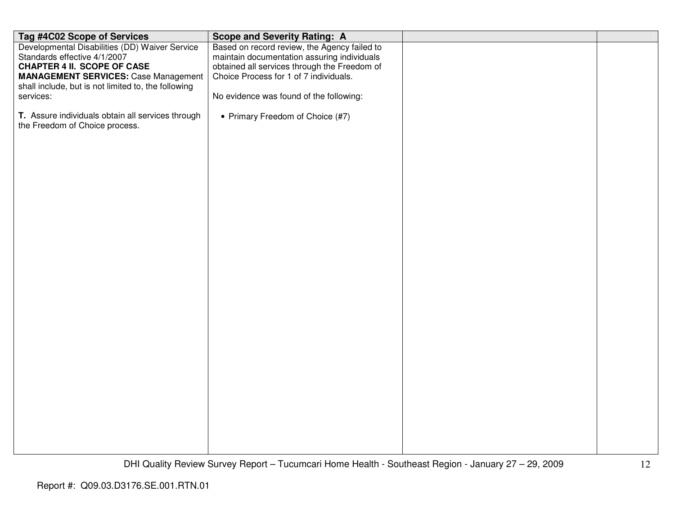| Tag #4C02 Scope of Services                                                         | <b>Scope and Severity Rating: A</b>          |  |
|-------------------------------------------------------------------------------------|----------------------------------------------|--|
| Developmental Disabilities (DD) Waiver Service                                      | Based on record review, the Agency failed to |  |
| Standards effective 4/1/2007                                                        | maintain documentation assuring individuals  |  |
| <b>CHAPTER 4 II. SCOPE OF CASE</b>                                                  | obtained all services through the Freedom of |  |
| <b>MANAGEMENT SERVICES: Case Management</b>                                         | Choice Process for 1 of 7 individuals.       |  |
| shall include, but is not limited to, the following                                 |                                              |  |
| services:                                                                           | No evidence was found of the following:      |  |
| T. Assure individuals obtain all services through<br>the Freedom of Choice process. | • Primary Freedom of Choice (#7)             |  |
|                                                                                     |                                              |  |
|                                                                                     |                                              |  |
|                                                                                     |                                              |  |
|                                                                                     |                                              |  |
|                                                                                     |                                              |  |
|                                                                                     |                                              |  |
|                                                                                     |                                              |  |
|                                                                                     |                                              |  |
|                                                                                     |                                              |  |
|                                                                                     |                                              |  |
|                                                                                     |                                              |  |
|                                                                                     |                                              |  |
|                                                                                     |                                              |  |
|                                                                                     |                                              |  |
|                                                                                     |                                              |  |
|                                                                                     |                                              |  |
|                                                                                     |                                              |  |
|                                                                                     |                                              |  |
|                                                                                     |                                              |  |
|                                                                                     |                                              |  |
|                                                                                     |                                              |  |
|                                                                                     |                                              |  |
|                                                                                     |                                              |  |
|                                                                                     |                                              |  |
|                                                                                     |                                              |  |
|                                                                                     |                                              |  |
|                                                                                     |                                              |  |
|                                                                                     |                                              |  |
|                                                                                     |                                              |  |
|                                                                                     |                                              |  |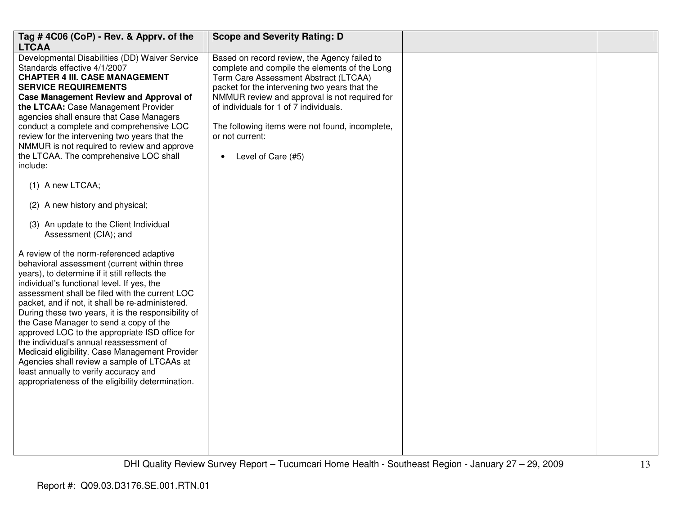| Tag #4C06 (CoP) - Rev. & Apprv. of the<br><b>LTCAA</b>                                                                                                                                                                                                                                                                                                                                                                                                                                                                                                                                                                                                                                                                                                                                                                                                                                                                                                                                                                                                                                                                                                                                                                                                                                                              | <b>Scope and Severity Rating: D</b>                                                                                                                                                                                                                                                                                                                                                         |  |
|---------------------------------------------------------------------------------------------------------------------------------------------------------------------------------------------------------------------------------------------------------------------------------------------------------------------------------------------------------------------------------------------------------------------------------------------------------------------------------------------------------------------------------------------------------------------------------------------------------------------------------------------------------------------------------------------------------------------------------------------------------------------------------------------------------------------------------------------------------------------------------------------------------------------------------------------------------------------------------------------------------------------------------------------------------------------------------------------------------------------------------------------------------------------------------------------------------------------------------------------------------------------------------------------------------------------|---------------------------------------------------------------------------------------------------------------------------------------------------------------------------------------------------------------------------------------------------------------------------------------------------------------------------------------------------------------------------------------------|--|
| Developmental Disabilities (DD) Waiver Service<br>Standards effective 4/1/2007<br><b>CHAPTER 4 III. CASE MANAGEMENT</b><br><b>SERVICE REQUIREMENTS</b><br><b>Case Management Review and Approval of</b><br>the LTCAA: Case Management Provider<br>agencies shall ensure that Case Managers<br>conduct a complete and comprehensive LOC<br>review for the intervening two years that the<br>NMMUR is not required to review and approve<br>the LTCAA. The comprehensive LOC shall<br>include:<br>(1) A new LTCAA;<br>(2) A new history and physical;<br>(3) An update to the Client Individual<br>Assessment (CIA); and<br>A review of the norm-referenced adaptive<br>behavioral assessment (current within three<br>years), to determine if it still reflects the<br>individual's functional level. If yes, the<br>assessment shall be filed with the current LOC<br>packet, and if not, it shall be re-administered.<br>During these two years, it is the responsibility of<br>the Case Manager to send a copy of the<br>approved LOC to the appropriate ISD office for<br>the individual's annual reassessment of<br>Medicaid eligibility. Case Management Provider<br>Agencies shall review a sample of LTCAAs at<br>least annually to verify accuracy and<br>appropriateness of the eligibility determination. | Based on record review, the Agency failed to<br>complete and compile the elements of the Long<br>Term Care Assessment Abstract (LTCAA)<br>packet for the intervening two years that the<br>NMMUR review and approval is not required for<br>of individuals for 1 of 7 individuals.<br>The following items were not found, incomplete,<br>or not current:<br>Level of Care (#5)<br>$\bullet$ |  |
|                                                                                                                                                                                                                                                                                                                                                                                                                                                                                                                                                                                                                                                                                                                                                                                                                                                                                                                                                                                                                                                                                                                                                                                                                                                                                                                     |                                                                                                                                                                                                                                                                                                                                                                                             |  |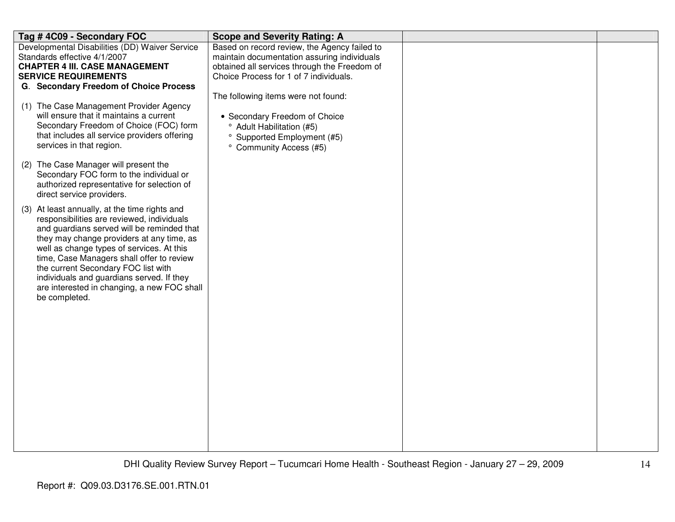| Tag #4C09 - Secondary FOC                                                                                                                                                                                                                                                                                                                                                                                                            | <b>Scope and Severity Rating: A</b>                                                                                                                                                                                                                                                                                                                                        |  |
|--------------------------------------------------------------------------------------------------------------------------------------------------------------------------------------------------------------------------------------------------------------------------------------------------------------------------------------------------------------------------------------------------------------------------------------|----------------------------------------------------------------------------------------------------------------------------------------------------------------------------------------------------------------------------------------------------------------------------------------------------------------------------------------------------------------------------|--|
| Developmental Disabilities (DD) Waiver Service<br>Standards effective 4/1/2007<br><b>CHAPTER 4 III. CASE MANAGEMENT</b><br><b>SERVICE REQUIREMENTS</b><br>G. Secondary Freedom of Choice Process<br>(1) The Case Management Provider Agency<br>will ensure that it maintains a current<br>Secondary Freedom of Choice (FOC) form<br>that includes all service providers offering<br>services in that region.                         | Based on record review, the Agency failed to<br>maintain documentation assuring individuals<br>obtained all services through the Freedom of<br>Choice Process for 1 of 7 individuals.<br>The following items were not found:<br>• Secondary Freedom of Choice<br><sup>o</sup> Adult Habilitation (#5)<br><sup>o</sup> Supported Employment (#5)<br>° Community Access (#5) |  |
| (2) The Case Manager will present the<br>Secondary FOC form to the individual or<br>authorized representative for selection of<br>direct service providers.                                                                                                                                                                                                                                                                          |                                                                                                                                                                                                                                                                                                                                                                            |  |
| (3) At least annually, at the time rights and<br>responsibilities are reviewed, individuals<br>and guardians served will be reminded that<br>they may change providers at any time, as<br>well as change types of services. At this<br>time, Case Managers shall offer to review<br>the current Secondary FOC list with<br>individuals and guardians served. If they<br>are interested in changing, a new FOC shall<br>be completed. |                                                                                                                                                                                                                                                                                                                                                                            |  |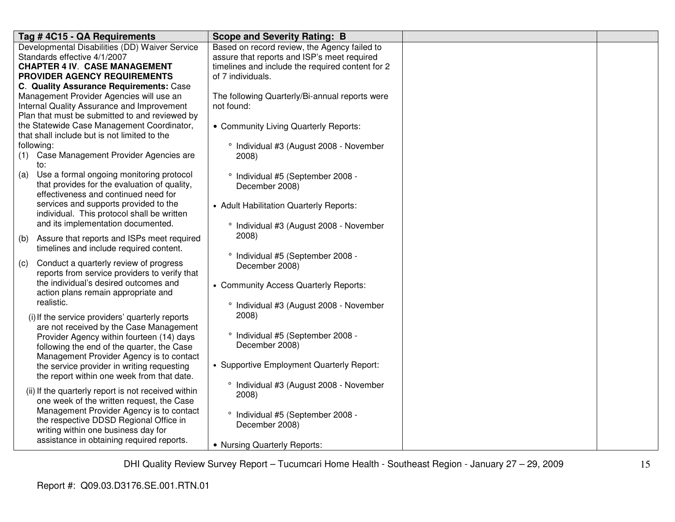| Tag #4C15 - QA Requirements                         | <b>Scope and Severity Rating: B</b>              |  |
|-----------------------------------------------------|--------------------------------------------------|--|
| Developmental Disabilities (DD) Waiver Service      | Based on record review, the Agency failed to     |  |
| Standards effective 4/1/2007                        | assure that reports and ISP's meet required      |  |
| <b>CHAPTER 4 IV. CASE MANAGEMENT</b>                | timelines and include the required content for 2 |  |
| PROVIDER AGENCY REQUIREMENTS                        | of 7 individuals.                                |  |
| C. Quality Assurance Requirements: Case             |                                                  |  |
| Management Provider Agencies will use an            | The following Quarterly/Bi-annual reports were   |  |
| Internal Quality Assurance and Improvement          | not found:                                       |  |
| Plan that must be submitted to and reviewed by      |                                                  |  |
| the Statewide Case Management Coordinator,          | • Community Living Quarterly Reports:            |  |
| that shall include but is not limited to the        |                                                  |  |
| following:                                          | ° Individual #3 (August 2008 - November          |  |
| Case Management Provider Agencies are<br>(1)        | 2008)                                            |  |
| to:                                                 |                                                  |  |
| Use a formal ongoing monitoring protocol<br>(a)     | ° Individual #5 (September 2008 -                |  |
| that provides for the evaluation of quality,        | December 2008)                                   |  |
| effectiveness and continued need for                |                                                  |  |
| services and supports provided to the               | • Adult Habilitation Quarterly Reports:          |  |
| individual. This protocol shall be written          |                                                  |  |
| and its implementation documented.                  | ° Individual #3 (August 2008 - November          |  |
|                                                     | 2008)                                            |  |
| Assure that reports and ISPs meet required<br>(b)   |                                                  |  |
| timelines and include required content.             | ° Individual #5 (September 2008 -                |  |
| Conduct a quarterly review of progress<br>(c)       | December 2008)                                   |  |
| reports from service providers to verify that       |                                                  |  |
| the individual's desired outcomes and               | • Community Access Quarterly Reports:            |  |
| action plans remain appropriate and                 |                                                  |  |
| realistic.                                          | ° Individual #3 (August 2008 - November          |  |
|                                                     | 2008)                                            |  |
| (i) If the service providers' quarterly reports     |                                                  |  |
| are not received by the Case Management             | ° Individual #5 (September 2008 -                |  |
| Provider Agency within fourteen (14) days           | December 2008)                                   |  |
| following the end of the quarter, the Case          |                                                  |  |
| Management Provider Agency is to contact            | • Supportive Employment Quarterly Report:        |  |
| the service provider in writing requesting          |                                                  |  |
| the report within one week from that date.          |                                                  |  |
| (ii) If the quarterly report is not received within | ° Individual #3 (August 2008 - November          |  |
| one week of the written request, the Case           | 2008)                                            |  |
| Management Provider Agency is to contact            |                                                  |  |
| the respective DDSD Regional Office in              | ° Individual #5 (September 2008 -                |  |
| writing within one business day for                 | December 2008)                                   |  |
| assistance in obtaining required reports.           |                                                  |  |
|                                                     | • Nursing Quarterly Reports:                     |  |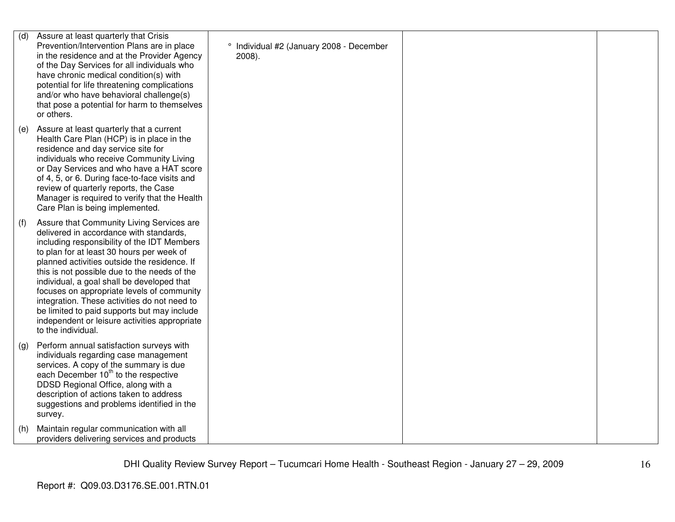| (d) | Assure at least quarterly that Crisis<br>Prevention/Intervention Plans are in place<br>in the residence and at the Provider Agency<br>of the Day Services for all individuals who<br>have chronic medical condition(s) with<br>potential for life threatening complications<br>and/or who have behavioral challenge(s)<br>that pose a potential for harm to themselves<br>or others.                                                                                                                                                               | ° Individual #2 (January 2008 - December<br>$2008$ ). |  |
|-----|----------------------------------------------------------------------------------------------------------------------------------------------------------------------------------------------------------------------------------------------------------------------------------------------------------------------------------------------------------------------------------------------------------------------------------------------------------------------------------------------------------------------------------------------------|-------------------------------------------------------|--|
| (e) | Assure at least quarterly that a current<br>Health Care Plan (HCP) is in place in the<br>residence and day service site for<br>individuals who receive Community Living<br>or Day Services and who have a HAT score<br>of 4, 5, or 6. During face-to-face visits and<br>review of quarterly reports, the Case<br>Manager is required to verify that the Health<br>Care Plan is being implemented.                                                                                                                                                  |                                                       |  |
| (f) | Assure that Community Living Services are<br>delivered in accordance with standards,<br>including responsibility of the IDT Members<br>to plan for at least 30 hours per week of<br>planned activities outside the residence. If<br>this is not possible due to the needs of the<br>individual, a goal shall be developed that<br>focuses on appropriate levels of community<br>integration. These activities do not need to<br>be limited to paid supports but may include<br>independent or leisure activities appropriate<br>to the individual. |                                                       |  |
| (g) | Perform annual satisfaction surveys with<br>individuals regarding case management<br>services. A copy of the summary is due<br>each December 10 <sup>th</sup> to the respective<br>DDSD Regional Office, along with a<br>description of actions taken to address<br>suggestions and problems identified in the<br>survey.                                                                                                                                                                                                                          |                                                       |  |
| (h) | Maintain regular communication with all<br>providers delivering services and products                                                                                                                                                                                                                                                                                                                                                                                                                                                              |                                                       |  |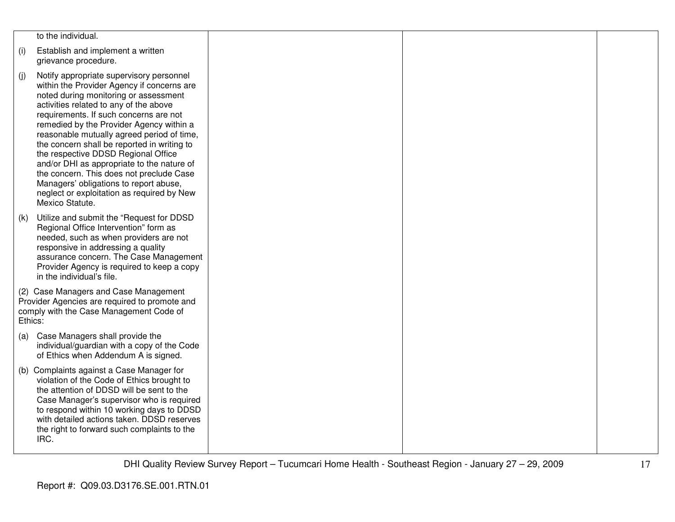|                                                                                                                                              | to the individual.                                                                                                                                                                                                                                                                                                                                                                                                                                                                                                                                                                                       |  |  |
|----------------------------------------------------------------------------------------------------------------------------------------------|----------------------------------------------------------------------------------------------------------------------------------------------------------------------------------------------------------------------------------------------------------------------------------------------------------------------------------------------------------------------------------------------------------------------------------------------------------------------------------------------------------------------------------------------------------------------------------------------------------|--|--|
| (i)                                                                                                                                          | Establish and implement a written<br>grievance procedure.                                                                                                                                                                                                                                                                                                                                                                                                                                                                                                                                                |  |  |
| (j)                                                                                                                                          | Notify appropriate supervisory personnel<br>within the Provider Agency if concerns are<br>noted during monitoring or assessment<br>activities related to any of the above<br>requirements. If such concerns are not<br>remedied by the Provider Agency within a<br>reasonable mutually agreed period of time,<br>the concern shall be reported in writing to<br>the respective DDSD Regional Office<br>and/or DHI as appropriate to the nature of<br>the concern. This does not preclude Case<br>Managers' obligations to report abuse,<br>neglect or exploitation as required by New<br>Mexico Statute. |  |  |
| (k)                                                                                                                                          | Utilize and submit the "Request for DDSD<br>Regional Office Intervention" form as<br>needed, such as when providers are not<br>responsive in addressing a quality<br>assurance concern. The Case Management<br>Provider Agency is required to keep a copy<br>in the individual's file.                                                                                                                                                                                                                                                                                                                   |  |  |
| (2) Case Managers and Case Management<br>Provider Agencies are required to promote and<br>comply with the Case Management Code of<br>Ethics: |                                                                                                                                                                                                                                                                                                                                                                                                                                                                                                                                                                                                          |  |  |
| (a)                                                                                                                                          | Case Managers shall provide the<br>individual/guardian with a copy of the Code<br>of Ethics when Addendum A is signed.                                                                                                                                                                                                                                                                                                                                                                                                                                                                                   |  |  |
|                                                                                                                                              | (b) Complaints against a Case Manager for<br>violation of the Code of Ethics brought to<br>the attention of DDSD will be sent to the<br>Case Manager's supervisor who is required<br>to respond within 10 working days to DDSD<br>with detailed actions taken. DDSD reserves<br>the right to forward such complaints to the<br>IRC.                                                                                                                                                                                                                                                                      |  |  |